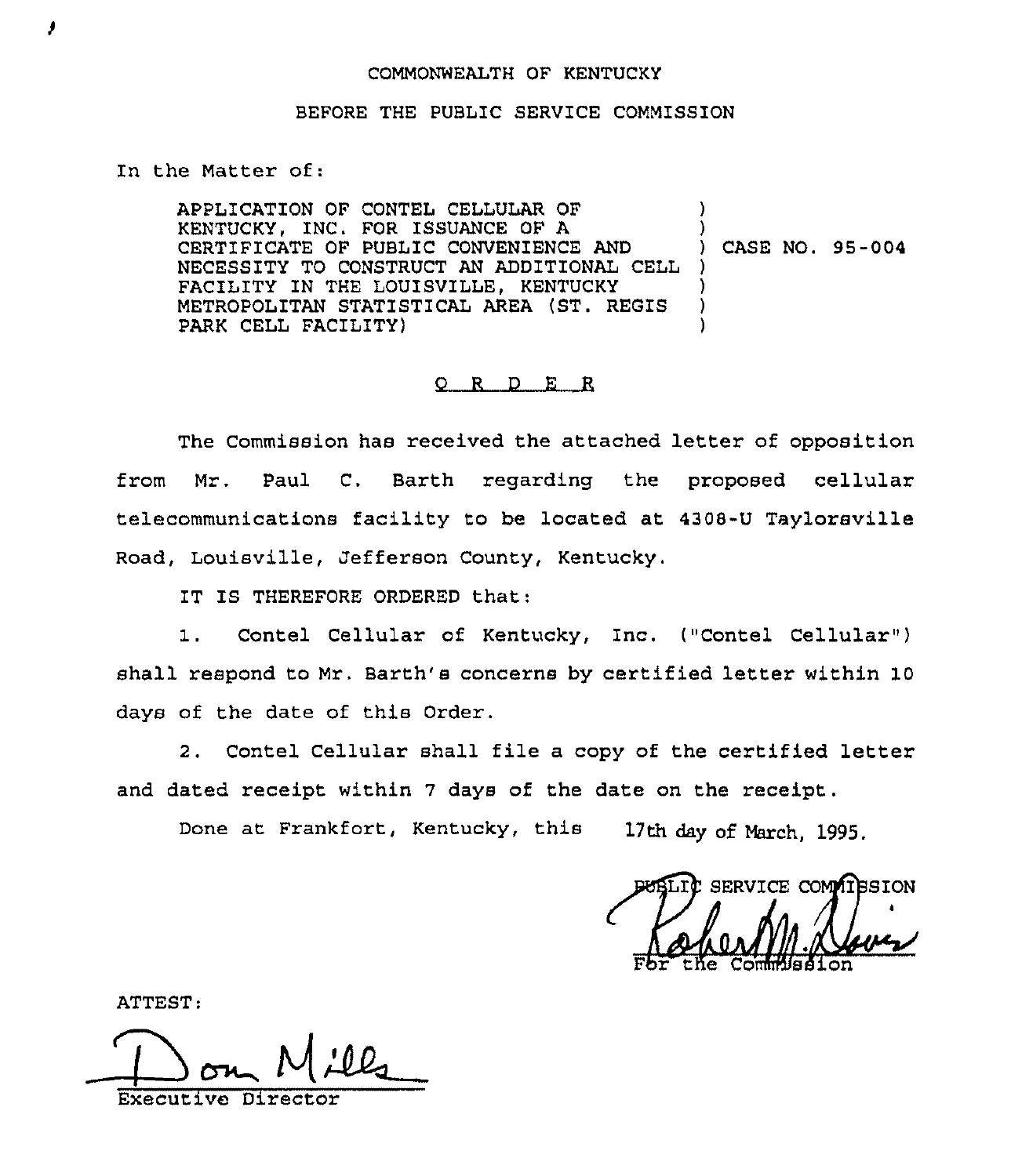### COMMONWEALTH OF KENTUCKY

### BEFORE THE PUBLIC SERVICE COMMISSION

In the Matter of:

APPLICATION OF CONTEL CELLULAR OF KENTUCKY, INC. FOR ISSUANCE OF A CERTIFICATE OF PUBLIC CONVENIENCE AND NECESSITY TO CONSTRUCT AN ADDITIONAL CELL FACILITY IN THE LOUISVILLE, KENTUCKY METROPOLITAN STATISTICAL AREA (ST. REGIS PARK CELL FACILITY) ) ) ) CASE NO. 95-004 ) ) ) )

## 0 <sup>R</sup> <sup>D</sup> E R

The Commission has received the attached letter of opposition from Mr. Paul C. Barth regarding the proposed cellular telecommunications facility to be located at 4308-U Taylorsville Road, Louisville, Jefferson County, Kentucky.

IT IS THEREFORE ORDERED that:

1. Contel Cellular of Kentucky, Inc. ("Contel Cellular") shall respond to Mr. Berth's concerns by certified letter within 10 days of the date of this Order.

2. Contel Cellular shall file a copy of the certified letter and dated receipt within 7 days of the date on the receipt.

Done at Frankfort, Kentucky, this 17th day of March, 1995.

SERVICE COMMITESION For the Commussic

ATTEST

Executive Director